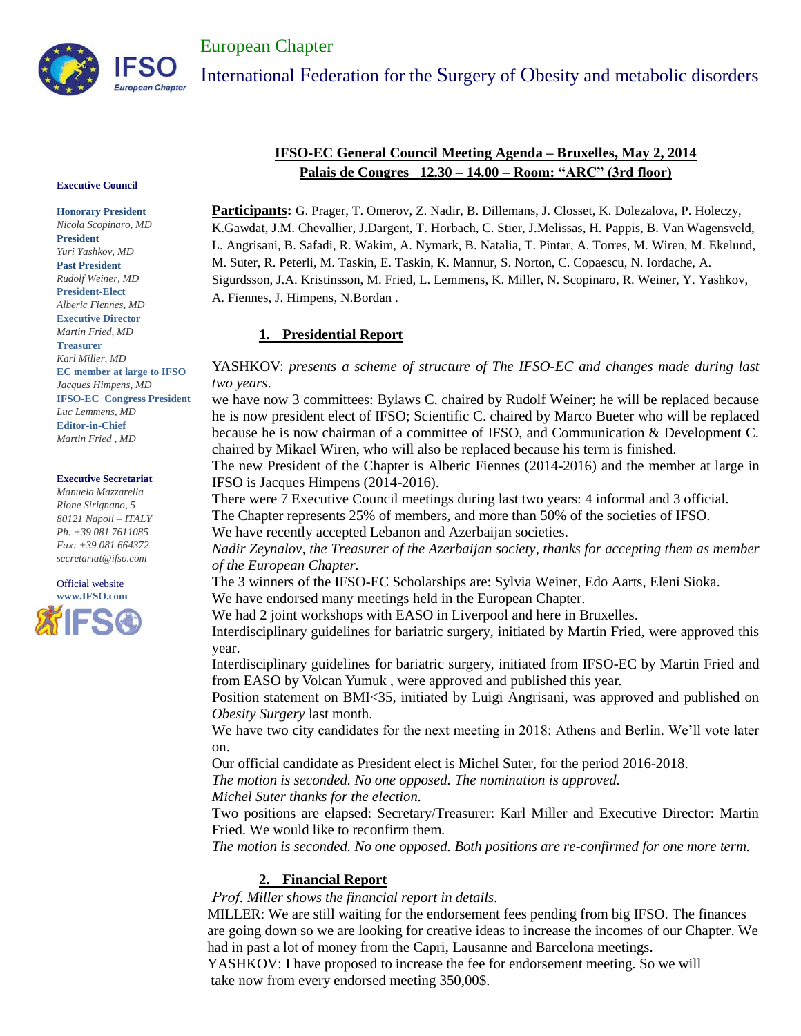

#### **Executive Council**

**Honorary President** *Nicola Scopinaro, MD* **President**  *Yuri Yashkov, MD* **Past President** *Rudolf Weiner, MD* **President-Elect** *Alberic Fiennes, MD* **Executive Director** *Martin Fried, MD* **Treasurer** *Karl Miller, MD* **EC member at large to IFSO** *Jacques Himpens, MD* **IFSO-EC Congress President** *Luc Lemmens, MD*  **Editor-in-Chief** *Martin Fried , MD*

#### **Executive Secretariat**

*Manuela Mazzarella Rione Sirignano, 5 80121 Napoli – ITALY Ph. +39 081 7611085 Fax: +39 081 664372 secretariat@ifso.com*



# **IFSO-EC General Council Meeting Agenda – Bruxelles, May 2, 2014 Palais de Congres 12.30 – 14.00 – Room: "ARC" (3rd floor)**

**Participants:** G. Prager, T. Omerov, Z. Nadir, B. Dillemans, J. Closset, K. Dolezalova, P. Holeczy, K.Gawdat, J.M. Chevallier, J.Dargent, T. Horbach, C. Stier, J.Melissas, H. Pappis, B. Van Wagensveld, L. Angrisani, B. Safadi, R. Wakim, A. Nymark, B. Natalia, T. Pintar, A. Torres, M. Wiren, M. Ekelund, M. Suter, R. Peterli, M. Taskin, E. Taskin, K. Mannur, S. Norton, C. Copaescu, N. Iordache, A. Sigurdsson, J.A. Kristinsson, M. Fried, L. Lemmens, K. Miller, N. Scopinaro, R. Weiner, Y. Yashkov, A. Fiennes, J. Himpens, N.Bordan .

#### **1. Presidential Report**

#### YASHKOV: *presents a scheme of structure of The IFSO-EC and changes made during last two years*.

we have now 3 committees: Bylaws C. chaired by Rudolf Weiner; he will be replaced because he is now president elect of IFSO; Scientific C. chaired by Marco Bueter who will be replaced because he is now chairman of a committee of IFSO, and Communication & Development C. chaired by Mikael Wiren, who will also be replaced because his term is finished.

The new President of the Chapter is Alberic Fiennes (2014-2016) and the member at large in IFSO is Jacques Himpens (2014-2016).

There were 7 Executive Council meetings during last two years: 4 informal and 3 official.

The Chapter represents 25% of members, and more than 50% of the societies of IFSO.

We have recently accepted Lebanon and Azerbaijan societies.

*Nadir Zeynalov, the Treasurer of the Azerbaijan society, thanks for accepting them as member of the European Chapter.*

The 3 winners of the IFSO-EC Scholarships are: Sylvia Weiner, Edo Aarts, Eleni Sioka. We have endorsed many meetings held in the European Chapter.

We had 2 joint workshops with EASO in Liverpool and here in Bruxelles.

Interdisciplinary guidelines for bariatric surgery, initiated by Martin Fried, were approved this year.

Interdisciplinary guidelines for bariatric surgery, initiated from IFSO-EC by Martin Fried and from EASO by Volcan Yumuk , were approved and published this year.

Position statement on BMI<35, initiated by Luigi Angrisani, was approved and published on *Obesity Surgery* last month.

We have two city candidates for the next meeting in 2018: Athens and Berlin. We'll vote later on.

Our official candidate as President elect is Michel Suter, for the period 2016-2018.

*The motion is seconded. No one opposed. The nomination is approved.*

*Michel Suter thanks for the election.*

Two positions are elapsed: Secretary/Treasurer: Karl Miller and Executive Director: Martin Fried. We would like to reconfirm them.

*The motion is seconded. No one opposed. Both positions are re-confirmed for one more term.*

## **2. Financial Report**

*Prof. Miller shows the financial report in details.*

MILLER: We are still waiting for the endorsement fees pending from big IFSO. The finances are going down so we are looking for creative ideas to increase the incomes of our Chapter. We had in past a lot of money from the Capri, Lausanne and Barcelona meetings. YASHKOV: I have proposed to increase the fee for endorsement meeting. So we will take now from every endorsed meeting 350,00\$.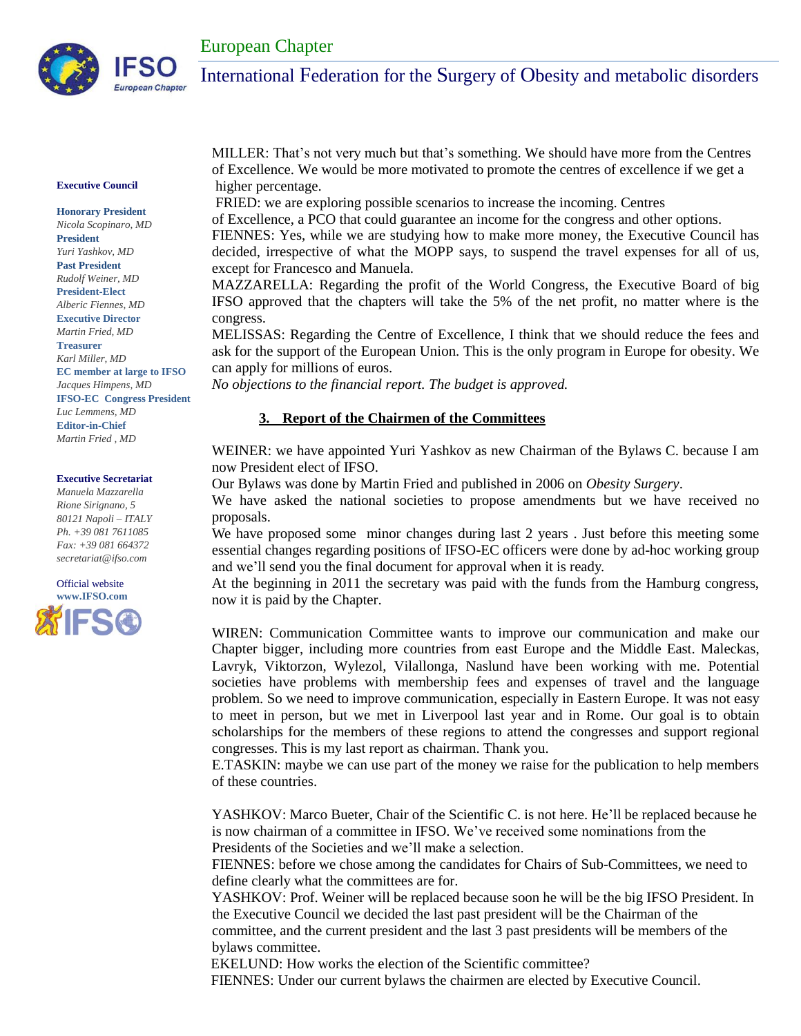

#### **Executive Council**

**Honorary President** *Nicola Scopinaro, MD* **President**  *Yuri Yashkov, MD* **Past President** *Rudolf Weiner, MD* **President-Elect** *Alberic Fiennes, MD* **Executive Director** *Martin Fried, MD* **Treasurer** *Karl Miller, MD* **EC member at large to IFSO** *Jacques Himpens, MD* **IFSO-EC Congress President** *Luc Lemmens, MD*  **Editor-in-Chief** *Martin Fried , MD*

#### **Executive Secretariat**

*Manuela Mazzarella Rione Sirignano, 5 80121 Napoli – ITALY Ph. +39 081 7611085 Fax: +39 081 664372 secretariat@ifso.com*



MILLER: That's not very much but that's something. We should have more from the Centres of Excellence. We would be more motivated to promote the centres of excellence if we get a higher percentage.

FRIED: we are exploring possible scenarios to increase the incoming. Centres

of Excellence, a PCO that could guarantee an income for the congress and other options.

FIENNES: Yes, while we are studying how to make more money, the Executive Council has decided, irrespective of what the MOPP says, to suspend the travel expenses for all of us, except for Francesco and Manuela.

MAZZARELLA: Regarding the profit of the World Congress, the Executive Board of big IFSO approved that the chapters will take the 5% of the net profit, no matter where is the congress.

MELISSAS: Regarding the Centre of Excellence, I think that we should reduce the fees and ask for the support of the European Union. This is the only program in Europe for obesity. We can apply for millions of euros.

*No objections to the financial report. The budget is approved.* 

#### **3. Report of the Chairmen of the Committees**

WEINER: we have appointed Yuri Yashkov as new Chairman of the Bylaws C. because I am now President elect of IFSO.

Our Bylaws was done by Martin Fried and published in 2006 on *Obesity Surgery*.

We have asked the national societies to propose amendments but we have received no proposals.

We have proposed some minor changes during last 2 years. Just before this meeting some essential changes regarding positions of IFSO-EC officers were done by ad-hoc working group and we'll send you the final document for approval when it is ready.

At the beginning in 2011 the secretary was paid with the funds from the Hamburg congress, now it is paid by the Chapter.

WIREN: Communication Committee wants to improve our communication and make our Chapter bigger, including more countries from east Europe and the Middle East. Maleckas, Lavryk, Viktorzon, Wylezol, Vilallonga, Naslund have been working with me. Potential societies have problems with membership fees and expenses of travel and the language problem. So we need to improve communication, especially in Eastern Europe. It was not easy to meet in person, but we met in Liverpool last year and in Rome. Our goal is to obtain scholarships for the members of these regions to attend the congresses and support regional congresses. This is my last report as chairman. Thank you.

E.TASKIN: maybe we can use part of the money we raise for the publication to help members of these countries.

YASHKOV: Marco Bueter, Chair of the Scientific C. is not here. He'll be replaced because he is now chairman of a committee in IFSO. We've received some nominations from the Presidents of the Societies and we'll make a selection.

FIENNES: before we chose among the candidates for Chairs of Sub-Committees, we need to define clearly what the committees are for.

YASHKOV: Prof. Weiner will be replaced because soon he will be the big IFSO President. In the Executive Council we decided the last past president will be the Chairman of the committee, and the current president and the last 3 past presidents will be members of the bylaws committee.

EKELUND: How works the election of the Scientific committee?

FIENNES: Under our current bylaws the chairmen are elected by Executive Council.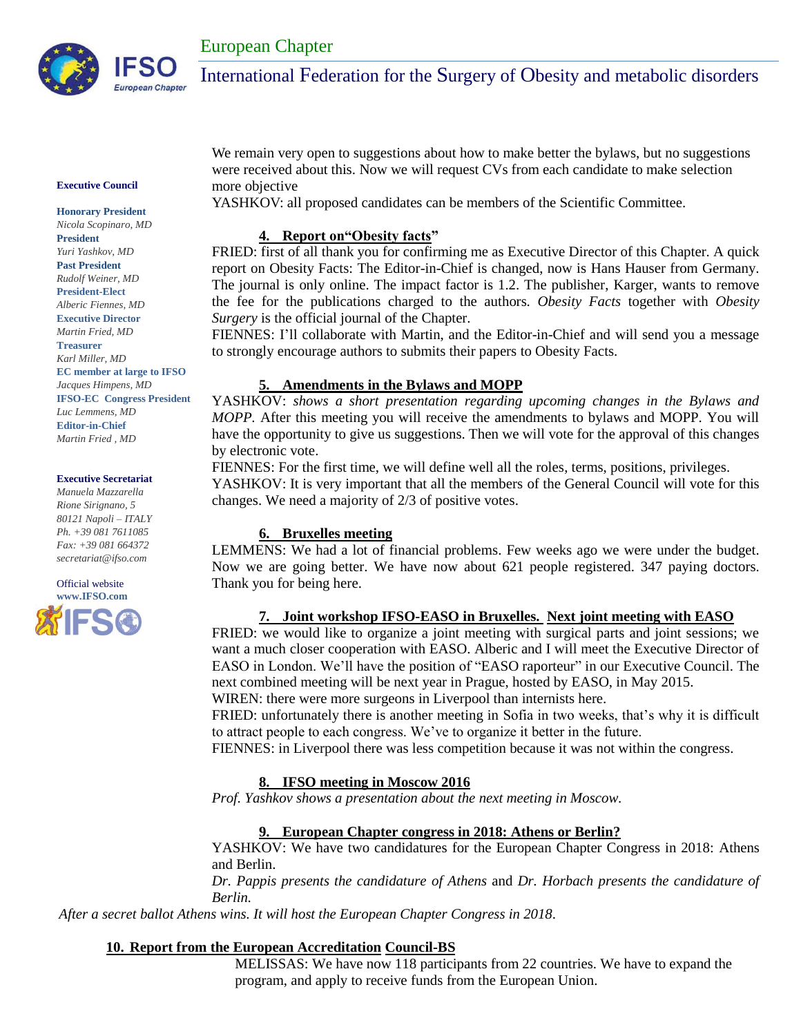

#### **Executive Council**

**Honorary President** *Nicola Scopinaro, MD* **President**  *Yuri Yashkov, MD* **Past President** *Rudolf Weiner, MD* **President-Elect** *Alberic Fiennes, MD* **Executive Director** *Martin Fried, MD* **Treasurer** *Karl Miller, MD* **EC member at large to IFSO** *Jacques Himpens, MD* **IFSO-EC Congress President** *Luc Lemmens, MD*  **Editor-in-Chief** *Martin Fried , MD*

#### **Executive Secretariat**

*Manuela Mazzarella Rione Sirignano, 5 80121 Napoli – ITALY Ph. +39 081 7611085 Fax: +39 081 664372 secretariat@ifso.com*



We remain very open to suggestions about how to make better the bylaws, but no suggestions were received about this. Now we will request CVs from each candidate to make selection more objective

YASHKOV: all proposed candidates can be members of the Scientific Committee.

## **4. Report on"Obesity facts"**

FRIED: first of all thank you for confirming me as Executive Director of this Chapter. A quick report on Obesity Facts: The Editor-in-Chief is changed, now is Hans Hauser from Germany. The journal is only online. The impact factor is 1.2. The publisher, Karger, wants to remove the fee for the publications charged to the authors. *Obesity Facts* together with *Obesity Surgery* is the official journal of the Chapter.

FIENNES: I'll collaborate with Martin, and the Editor-in-Chief and will send you a message to strongly encourage authors to submits their papers to Obesity Facts.

## **5. Amendments in the Bylaws and MOPP**

YASHKOV: *shows a short presentation regarding upcoming changes in the Bylaws and MOPP.* After this meeting you will receive the amendments to bylaws and MOPP. You will have the opportunity to give us suggestions. Then we will vote for the approval of this changes by electronic vote.

FIENNES: For the first time, we will define well all the roles, terms, positions, privileges. YASHKOV: It is very important that all the members of the General Council will vote for this changes. We need a majority of 2/3 of positive votes.

#### **6. Bruxelles meeting**

LEMMENS: We had a lot of financial problems. Few weeks ago we were under the budget. Now we are going better. We have now about 621 people registered. 347 paying doctors. Thank you for being here.

## **7. Joint workshop IFSO-EASO in Bruxelles. Next joint meeting with EASO**

FRIED: we would like to organize a joint meeting with surgical parts and joint sessions; we want a much closer cooperation with EASO. Alberic and I will meet the Executive Director of EASO in London. We'll have the position of "EASO raporteur" in our Executive Council. The next combined meeting will be next year in Prague, hosted by EASO, in May 2015.

WIREN: there were more surgeons in Liverpool than internists here.

FRIED: unfortunately there is another meeting in Sofia in two weeks, that's why it is difficult to attract people to each congress. We've to organize it better in the future.

FIENNES: in Liverpool there was less competition because it was not within the congress.

## **8. IFSO meeting in Moscow 2016**

*Prof. Yashkov shows a presentation about the next meeting in Moscow.*

## **9. European Chapter congress in 2018: Athens or Berlin?**

YASHKOV: We have two candidatures for the European Chapter Congress in 2018: Athens and Berlin.

*Dr. Pappis presents the candidature of Athens* and *Dr. Horbach presents the candidature of Berlin.*

*After a secret ballot Athens wins. It will host the European Chapter Congress in 2018.*

## **10. Report from the European Accreditation Council-BS**

MELISSAS: We have now 118 participants from 22 countries. We have to expand the program, and apply to receive funds from the European Union.